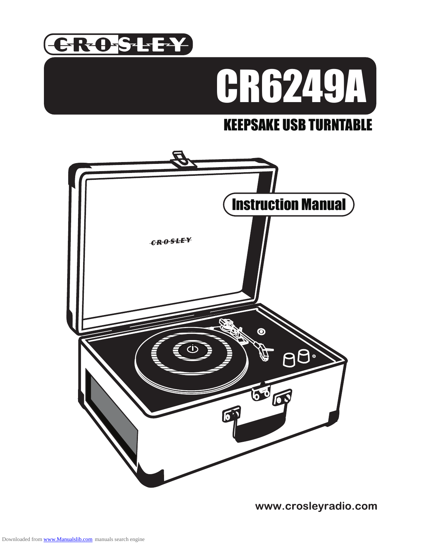



# KEEPSAKE USB TURNTABLE



www.crosleyradio.com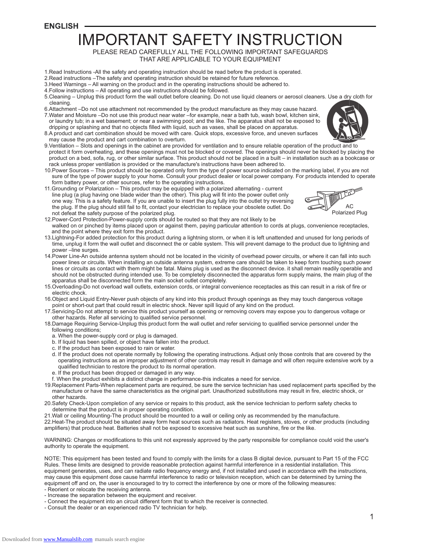**ENGLISH** 

# IMPORTANT SAFETY INSTRUCTION

PLEASE READ CAREFULLY ALL THE FOLLOWING IMPORTANT SAFEGUARDS THAT ARE APPLICABLE TO YOUR EQUIPMENT

1.Read Instructions -All the safety and operating instruction should be read before the product is operated.

### 2.Read instructions –The safety and operating instruction should be retained for future reference.

- 3.Heed Warnings All warning on the product and in the operating instructions should be adhered to.
- 4.Follow instructions All operating and use instructions should be followed.
- 5.Cleaning Unplug this product form the wall outlet before cleaning. Do not use liquid cleaners or aerosol cleaners. Use a dry cloth for cleaning.
- 6.Attachment –Do not use attachment not recommended by the product manufacture as they may cause hazard. 7.Water and Moisture –Do not use this product near water –for example, near a bath tub, wash bowl, kitchen sink, or laundry tub; in a wet basement; or near a swimming pool; and the like. The apparatus shall not be exposed to dripping or splashing and that no objects filled with liquid, such as vases, shall be placed on apparatus.
- 8.A product and cart combination should be moved with care. Quick stops, excessive force, and uneven surfaces may cause the product and cart combination to overturn.
- 9.Ventilation Slots and openings in the cabinet are provided for ventilation and to ensure reliable operation of the product and to protect it form overheating, and these openings must not be blocked or covered. The openings should never be blocked by placing the product on a bed, sofa, rug, or other similar surface. This product should not be placed in a built – in installation such as a bookcase or rack unless proper ventilation is provided or the manufacture's instructions have been adhered to.
- 10.Power Sources This product should be operated only form the type of power source indicated on the marking label, if you are not sure of the type of power supply to your home. Consult your product dealer or local power company. For products intended to operate form battery power, or other sources, refer to the operating instructions.
- 11.Grounding or Polarization This product may be equipped with a polarized alternating current line plug (a plug having one blade wider than the other). This plug will fit into the power outlet only one way. This is a safety feature. If you are unable to insert the plug fully into the outlet try reversing the plug. If the plug should still fail to fit, contact your electrician to replace your obsolete outlet. Do not defeat the safety purpose of the polarized plug.



- 12.Power-Cord Protection-Power-supply cords should be routed so that they are not likely to be walked on or pinched by items placed upon or against them, paying particular attention to cords at plugs, convenience receptacles, and the point where they exit form the product.
- 13.Lightning-For added protection for this product during a lightning storm, or when it is left unattended and unused for long periods of time, unplug it form the wall outlet and disconnect the or cable system. This will prevent damage to the product due to lightning and power –line surges.
- 14.Power Line-An outside antenna system should not be located in the vicinity of overhead power circuits, or where it can fall into such power lines or circuits. When installing an outside antenna system, extreme care should be taken to keep form touching such power lines or circuits as contact with them might be fatal. Mains plug is used as the disconnect device. it shall remain readily operable and should not be obstructed during intended use. To be completely disconnected the apparatus form supply mains, the main plug of the apparatus shall be disconnected form the main socket outlet completely.
- 15.Overloading-Do not overload wall outlets, extension cords, or integral convenience receptacles as this can result in a risk of fire or electric chock.
- 16.Object and Liquid Entry-Never push objects of any kind into this product through openings as they may touch dangerous voltage point or short-out part that could result in electric shock. Never spill liquid of any kind on the product.
- 17.Servicing-Do not attempt to service this product yourself as opening or removing covers may expose you to dangerous voltage or other hazards. Refer all servicing to qualified service personnel.
- 18.Damage Requiring Service-Unplug this product form the wall outlet and refer servicing to qualified service personnel under the following conditions;
	- a. When the power-supply cord or plug is damaged.
	- b. If liquid has been spilled, or object have fallen into the product.
	- c. If the product has been exposed to rain or water.
	- d. If the product does not operate normally by following the operating instructions. Adjust only those controls that are covered by the operating instructions as an improper adjustment of other controls may result in damage and will often require extensive work by a qualified technician to restore the product to its normal operation.
	- e. If the product has been dropped or damaged in any way.
	- f. When the product exhibits a distinct change in performance-this indicates a need for service.
- 19.Replacement Parts-When replacement parts are required, be sure the service technician has used replacement parts specified by the manufacture or have the same characteristics as the original part. Unauthorized substitutions may result in fire, electric shock, or other hazards.
- 20.Safety Check-Upon completion of any service or repairs to this product, ask the service technician to perform safety checks to determine that the product is in proper operating condition.
- 21.Wall or ceiling Mounting-The product should be mounted to a wall or ceiling only as recommended by the manufacture.

22.Heat-The product should be situated away form heat sources such as radiators. Heat registers, stoves, or other products (including amplifiers) that produce heat. Batteries shall not be exposed to excessive heat such as sunshine, fire or the like.

WARNING: Changes or modifications to this unit not expressly approved by the party responsible for compliance could void the user's authority to operate the equipment.

NOTE: This equipment has been tested and found to comply with the limits for a class B digital device, pursuant to Part 15 of the FCC Rules. These limits are designed to provide reasonable protection against harmful interference in a residential installation. This equipment generates, uses, and can radiate radio frequency energy and, if not installed and used in accordance with the instructions, may cause this equipment dose cause harmful interference to radio or television reception, which can be determined by turning the equipment off and on, the user is encouraged to try to correct the interference by one or more of the following measures:

- Reorient or relocate the receiving antenna.
- Increase the separation between the equipment and receiver.
- Connect the equipment into an circuit different form that to which the receiver is connected.
- Consult the dealer or an experienced radio TV technician for help.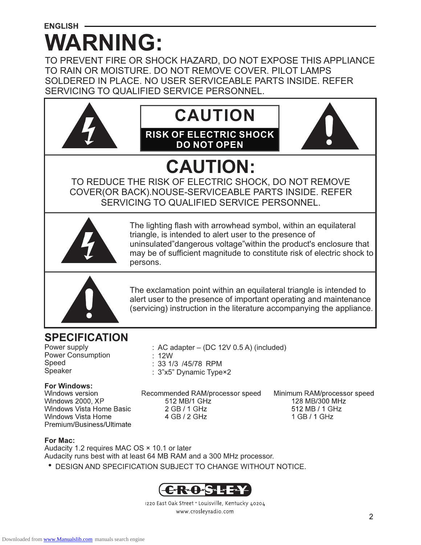# **ENGLISH -WARNING:**

TO PREVENT FIRE OR SHOCK HAZARD, DO NOT EXPOSE THIS APPLIANCE TO RAIN OR MOISTURE. DO NOT REMOVE COVER. PILOT LAMPS SOLDERED IN PLACE. NO USER SERVICEABLE PARTS INSIDE. REFER SERVICING TO QUALIFIED SERVICE PERSONNEL.



(servicing) instruction in the literature accompanying the appliance.

### **SPECIFICATION**

Power supply Power Consumption Speed Speaker

# **For Windows:**

Windows 2000, XP **Windows Vista Home Basic** Windows Vista Home Premium/Business/Ultimate

Recommended RAM/processor speed 512 MB/1 GHz 2 GB / 1 GHz 4 GB / 2 GHz

: AC adapter  $-$  (DC 12V 0.5 A) (included)

Minimum RAM/processor speed 128 MB/300 MHz 512 MB / 1 GHz  $1 GB/1 GHz$ 

### **For Mac:**

Audacity 1.2 requires MAC OS × 10.1 or later Audacity runs best with at least 64 MB RAM and a 300 MHz processor.

: 12W

: 33 1/3 /45/78 RPM : 3"x5" Dynamic Type×2

·DESIGN AND SPECIFICATION SUBJECT TO CHANGE WITHOUT NOTICE.



1220 East Oak Street . Louisville, Kentucky 40204 www.crosleyradio.com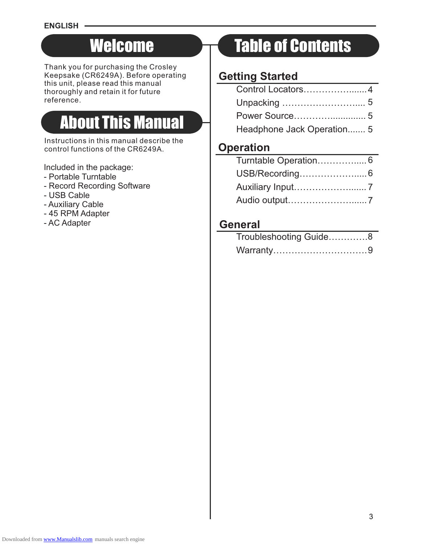# **Welcome**

Thank you for purchasing the Crosley Keepsake (CR6249A). Before operating this unit, please read this manual thoroughly and retain it for future reference.

# About This Manual

Instructions in this manual describe the control functions of the CR6249A.

Included in the package:

- Portable Turntable
- Record Recording Software
- USB Cable
- Auxiliary Cable
- 45 RPM Adapter
- AC Adapter

# Table of Contents

### **Getting Started**

| Headphone Jack Operation 5 |  |
|----------------------------|--|

### **Operation**

### **General**

| Troubleshooting Guide8 |  |
|------------------------|--|
| Warranty9              |  |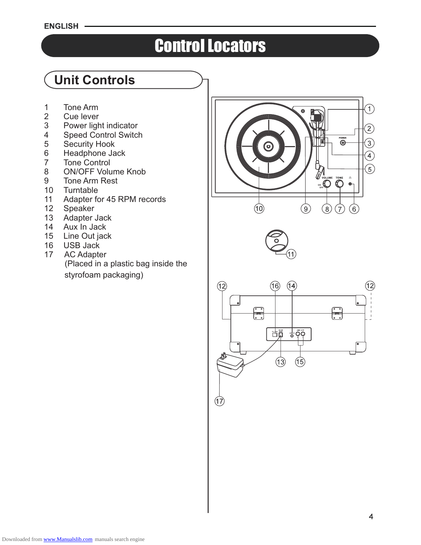### **ENGLISH**

# Control Locators

# **Unit Controls**

- 1 Tone Arm<br>2 Cue lever
- 2 Cue lever<br>3 Power light
- 3 Power light indicator<br>4 Speed Control Switcl
- 4 Speed Control Switch<br>5 Security Hook
- 5 Security Hook<br>6 Headphone Ja
- 6 Headphone Jack<br>7 Tone Control
- 7 Tone Control<br>8 ON/OFF Volu
- ON/OFF Volume Knob
- 9 Tone Arm Rest<br>10 Turntable
- **Turntable**
- 11 Adapter for 45 RPM records
- 12 Speaker<br>13 Adapter,
- Adapter Jack
- 14 Aux In Jack<br>15 Line Out iac
- Line Out jack
- 16 USB Jack<br>17 AC Adapte
- AC Adapter (Placed in a plastic bag inside the styrofoam packaging)







 $(17)$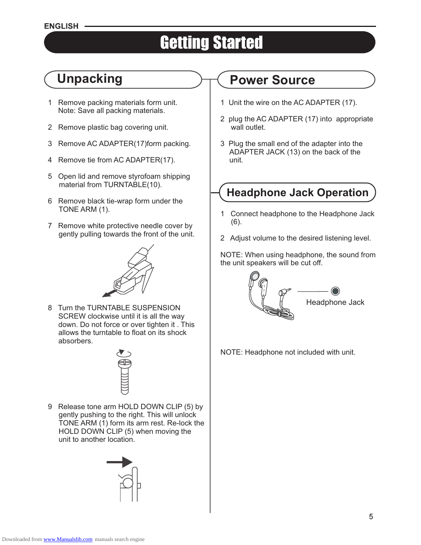### **ENGLISH**

# Getting Started

# **Unpacking**

- 1 Remove packing materials form unit. Note: Save all packing materials.
- 2 Remove plastic bag covering unit.
- 3 Remove AC ADAPTER(17)form packing.
- 4 Remove tie from AC ADAPTER(17).
- 5 Open lid and remove styrofoam shipping material from TURNTABLE(10).
- 6 Remove black tie-wrap form under the TONE ARM (1).
- 7 Remove white protective needle cover by gently pulling towards the front of the unit.



8 Turn the TURNTABLE SUSPENSION SCREW clockwise until it is all the way down. Do not force or over tighten it . This allows the turntable to float on its shock absorbers.



9 Release tone arm HOLD DOWN CLIP (5) by gently pushing to the right. This will unlock TONE ARM (1) form its arm rest. Re-lock the HOLD DOWN CLIP (5) when moving the unit to another location.



# **Power Source**

- 1 Unit the wire on the AC ADAPTER (17).
- 2 plug the AC ADAPTER (17) into appropriate wall outlet.
- 3 Plug the small end of the adapter into the ADAPTER JACK (13) on the back of the unit.

# **Headphone Jack Operation**

- 1 Connect headphone to the Headphone Jack (6).
- 2 Adjust volume to the desired listening level.

NOTE: When using headphone, the sound from the unit speakers will be cut off.



### NOTE: Headphone not included with unit.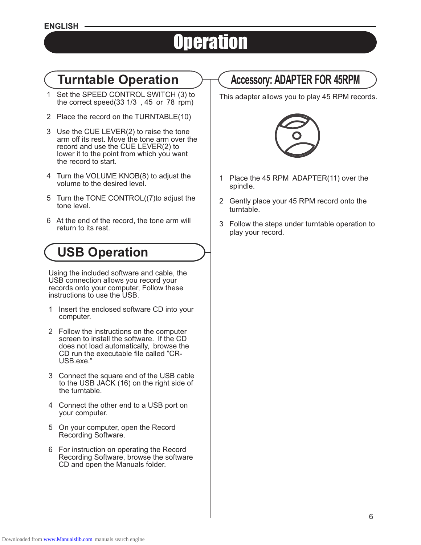# **Operation**

- 1 Set the SPEED CONTROL SWITCH (3) to the correct speed(33  $1/3$ , 45 or 78 rpm)
- 2 Place the record on the TURNTABLE(10)
- 3 Use the CUE LEVER(2) to raise the tone arm off its rest. Move the tone arm over the record and use the CUE LEVER(2) to lower it to the point from which you want the record to start.
- 4 Turn the VOLUME KNOB(8) to adjust the volume to the desired level.
- 5 Turn the TONE CONTROL((7)to adjust the tone level.
- 6 At the end of the record, the tone arm will return to its rest.

# **USB Operation**

Using the included software and cable, the USB connection allows you record your records onto your computer, Follow these instructions to use the USB.

- 1 Insert the enclosed software CD into your computer.
- 2 Follow the instructions on the computer screen to install the software. If the CD does not load automatically, browse the CD run the executable file called "CR-USB.exe."
- 3 Connect the square end of the USB cable to the USB JACK (16) on the right side of the turntable.
- 4 Connect the other end to a USB port on your computer.
- 5 On your computer, open the Record Recording Software.
- 6 For instruction on operating the Record Recording Software, browse the software CD and open the Manuals folder.

# **Turntable Operation Accessory: ADAPTER FOR 45RPM**

This adapter allows you to play 45 RPM records.



- 1 Place the 45 RPM ADAPTER(11) over the spindle.
- 2 Gently place your 45 RPM record onto the turntable.
- 3 Follow the steps under turntable operation to play your record.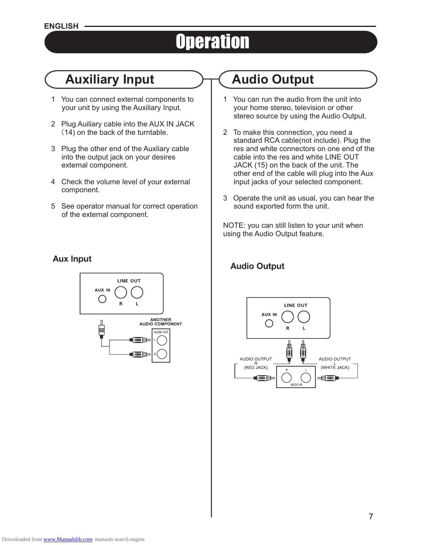# **Operation**

# **Auxiliary Input Audio Output**

- 1 You can connect external components to your unit by using the Auxiliary Input.
- 2 Plug Auiliary cable into the AUX IN JACK (14) on the back of the turntable.
- 3 Plug the other end of the Auxliary cable into the output jack on your desires external component.
- 4 Check the volume level of your external component.
- 5 See operator manual for correct operation of the external component.

### **Aux Input**



- 1 You can run the audio from the unit into your home stereo, television or other stereo source by using the Audio Output.
- 2 To make this connection, you need a standard RCA cable(not include). Plug the res and white connectors on one end of the cable into the res and white LINE OUT JACK (15) on the back of the unit. The other end of the cable will plug into the Aux input jacks of your selected component.
- 3 Operate the unit as usual, you can hear the sound exported form the unit.

NOTE: you can still listen to your unit when using the Audio Output feature.

### **Audio Output**



### Downloaded from [www.Manualslib.com](http://www.manualslib.com/) manuals search engine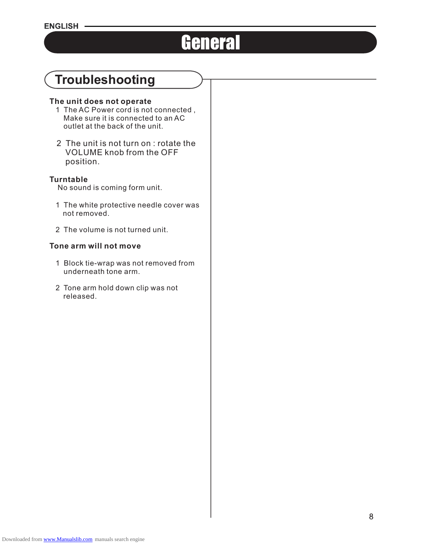# **General**

# **Troubleshooting**

### **The unit does not operate**

- 1 The AC Power cord is not connected , Make sure it is connected to an AC outlet at the back of the unit.
- 2 The unit is not turn on : rotate the VOLUME knob from the OFF position.

### **Turntable**

No sound is coming form unit.

- 1 The white protective needle cover was not removed.
- 2 The volume is not turned unit.

### **Tone arm will not move**

- 1 Block tie-wrap was not removed from underneath tone arm.
- 2 Tone arm hold down clip was not released.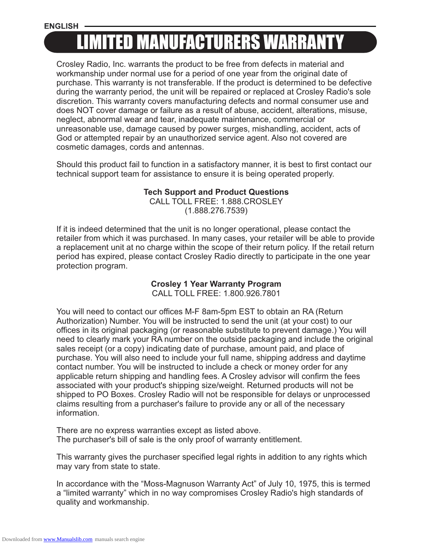### **ENGLISH**

# LIMITED MANUFACTURERS WARRANTY

Crosley Radio, Inc. warrants the product to be free from defects in material and workmanship under normal use for a period of one year from the original date of purchase. This warranty is not transferable. If the product is determined to be defective during the warranty period, the unit will be repaired or replaced at Crosley Radio's sole discretion. This warranty covers manufacturing defects and normal consumer use and does NOT cover damage or failure as a result of abuse, accident, alterations, misuse, neglect, abnormal wear and tear, inadequate maintenance, commercial or unreasonable use, damage caused by power surges, mishandling, accident, acts of God or attempted repair by an unauthorized service agent. Also not covered are cosmetic damages, cords and antennas.

Should this product fail to function in a satisfactory manner, it is best to first contact our technical support team for assistance to ensure it is being operated properly.

### **Tech Support and Product Questions**

CALL TOLL FREE: 1.888.CROSLEY (1.888.276.7539)

If it is indeed determined that the unit is no longer operational, please contact the retailer from which it was purchased. In many cases, your retailer will be able to provide a replacement unit at no charge within the scope of their return policy. If the retail return period has expired, please contact Crosley Radio directly to participate in the one year protection program.

### **Crosley 1 Year Warranty Program**

CALL TOLL FREE: 1.800.926.7801

You will need to contact our offices M-F 8am-5pm EST to obtain an RA (Return Authorization) Number. You will be instructed to send the unit (at your cost) to our offices in its original packaging (or reasonable substitute to prevent damage.) You will need to clearly mark your RA number on the outside packaging and include the original sales receipt (or a copy) indicating date of purchase, amount paid, and place of purchase. You will also need to include your full name, shipping address and daytime contact number. You will be instructed to include a check or money order for any applicable return shipping and handling fees. A Crosley advisor will confirm the fees associated with your product's shipping size/weight. Returned products will not be shipped to PO Boxes. Crosley Radio will not be responsible for delays or unprocessed claims resulting from a purchaser's failure to provide any or all of the necessary information.

There are no express warranties except as listed above. The purchaser's bill of sale is the only proof of warranty entitlement.

This warranty gives the purchaser specified legal rights in addition to any rights which may vary from state to state.

In accordance with the "Moss-Magnuson Warranty Act" of July 10, 1975, this is termed a "limited warranty" which in no way compromises Crosley Radio's high standards of quality and workmanship.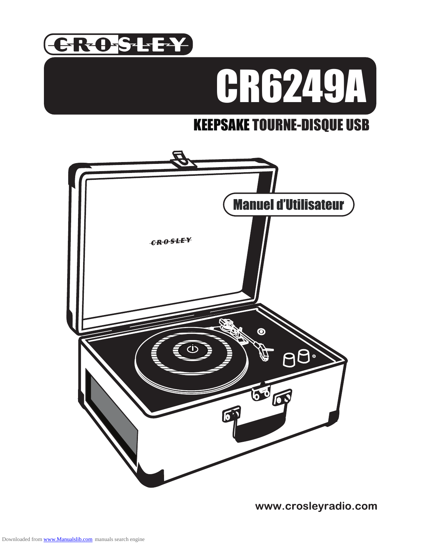

# CR6249A

# KEEPSAKE TOURNE-DISQUE USB



www.crosleyradio.com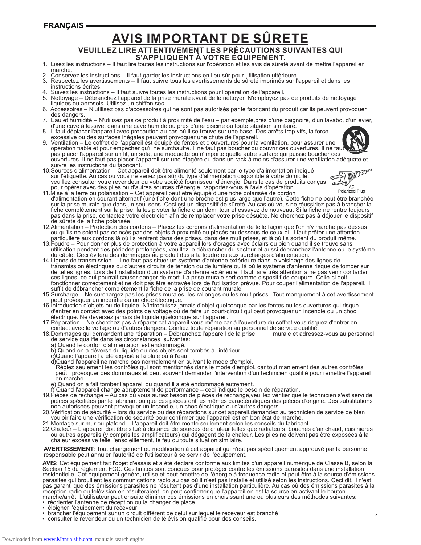### **FRANCAIS-**

# **AVIS IMPORTANT DE SÛRETE**

### **VEUILLEZ LIRE ATTENTIVEMENT LES PRÉCAUTIONS SUIVANTES QUI S'APPLIQUENT À VOTRE ÉQUIPEMENT.**

- 1. Lisez les instructions Il faut lire toutes les instructions sur l'opération et les avis de sûreté avant de mettre l'appareil en marche.
- 2. Conservez les instructions Il faut garder les instructions en lieu sûr pour utilisation ultérieure.
- 3. Respectez les avertissements Il faut suivre tous les avertissements de sûreté imprimés sur l'appareil et dans les instructions écrites.
- 4. Suivez les instructions Il faut suivre toutes les instructions pour l'opération de l'appareil.
- Nettoyage Débranchez l'appareil de la prise murale avant de le nettoyer. N'employez pas de produits de nettoyage liquides ou aérosols. Utilisez un chiffon sec.
- 6. Accessoires N'utilisez pas d'accessoires qui ne sont pas autorisés par le fabricant du produit car ils peuvent provoquer des dangers.
- 7. Eau et hūmidité N'utilisez pas ce produit à proximité de l'eau par exemple,près d'une baignoire, d'un lavabo, d'un évier, d'une cuve à lessive, dans une cave humide ou près d'une piscine ou toute situation similaire.
- 8. Il faut déplacer l'appareil avec précaution au cas où il se trouve sur une base. Des arrêts trop vifs, la force excessive ou des surfaces inégales peuvent provoquer une chute de l'appareil.<br>9 Ventilation – Le coffret de l'appareil est équipé de fentes et d'ouvertures pour la
- 9. Ventilation Le coffret de l'appareil est équipé de fentes et d'ouvertures pour la ventilation, pour assurer une opération fiable et pour empêcher qu'il ne surchauffe. Il ne faut pas boucher ou couvrir ces ouvertures. Il ne faut pas placer l'appareil sur un lit, un sofa, une moquette ou n'importe quelle autre surface qui puisse boucher ces ouvertures. Il ne faut pas placer l'appareil sur une étagère ou dans un rack à moins d'assurer une ventilation adéquate et suivre les instructions du fabricant.
- 10.Sources d'alimentation Cet appareil doit être alimenté seulement par le type d'alimentation indiqué sur l'étiquette. Au cas où vous ne seriez pas sûr du type d'alimentation disponible à votre domicile, veuillez consulter votre revendeur ou votre société fournisseur d'énergie. Dans le cas de produits conçus pour opérer avec des piles ou d'autres sources d'énergie, rapportez-vous à l'avis d'opération.



- 11.Mise à la terre ou polarisation Cet appareil peut être équipé d'une fiche polarisée de cordon d'alimentation en courant alternatif (une fiche dont une broche est plus large que l'autre). Cette fiche ne peut être branchée sur la prise murale que dans un seul sens. Ceci est un dispositif de sûreté. Au cas où vous ne réussiriez pas à brancher la fiche complètement sur la prise, faites pivoter la fiche d'un demi tour et essayez de nouveau. Si la fiche ne rentre toujours pas dans la prise, contactez votre électricien afin de remplacer votre prise désuète. Ne cherchez pas à déjouer le dispositif de sûreté de la fiche polarisée.
- 12.Alimentation Protection des cordons Placez les cordons d'alimentation de telle façon que l'on n'y marche pas dessus ou qu'ils ne soient pas coincés par des objets à proximité ou placés au dessous de ceux-ci. Il faut prêter une attention particulière aux cordons là où ils rentrent dans des prises, dans des multiprises, et là où ils sortent du produit même.
- 13.Foudre Pour donner plus de protection à votre appareil lors d'orages avec éclairs ou bien quand il se trouve sans utilisation pendant des périodes prolongées, veuillez le débrancher du secteur et aussi débranchez l'antenne ou le système du câble. Ceci évitera des dommages au produit dus à la foudre ou aux surcharges d'alimentation.
- 14.Lignes de transmission Il ne faut pas situer un système d'antenne extérieure dans le voisinage des lignes de transmission électriques ou d'autres circuits de tension ou de lumière ou là où le système d'antenne risque de tomber sur de telles lignes. Lors de l'installation d'un système d'antenne extérieure il faut faire très attention à ne pas venir contacter ces lignes, ce qui pourrait causer danger de mort. La prise murale sert comme dispositif de coupure. Celle-ci doit fonctionner correctement et ne doit pas être entravée lors de l'utilisation prévue. Pour couper l'alimentation de l'appareil, il suffit de débrancher complètement la fiche de la prise de courant murale.
- 15.Surcharge Ne surchargez pas les prises murales, les rallonges ou les multiprises. Tout manquement à cet avertissement peut provoquer un incendie ou un choc électrique.
- 16.Introduction d'objets ou de liquide. N'introduisez jamais d'objet quelconque par les fentes ou les ouvertures qui risque d'entrer en contact avec des points de voltage ou de faire un court-circuit qui peut provoquer un incendie ou un choc électrique. Ne déversez jamais de liquide quelconque sur l'appareil.
- 17.Réparation Ne cherchez pas à réparer cet appareil vous-même car à l'ouverture du coffret vous risquez d'entrer en contact avec le voltage ou d'autres dangers. Confiez toute réparation au personnel de service qualifié.
- 18.Dommages qui demandent une réparation Débranchez l'appareil de la prise murale et adressez-vous au personnel de service qualifié dans les circonstances suivantes:
	- a) Quand le cordon d'alimentation est endommagé.
	- b) Quand on a déversé du liquide ou des objets sont tombés à l'intérieur.
	- c)Quand l'appareil a été exposé à la pluie ou à l'eau.
- d)Quand l'appareil ne marche pas normalement en suivant le mode d'emploi.
- Réglez seulement les contrôles qui sont mentionnés dans le mode d'emploi, car tout maniement des autres contrôles peut provoquer des dommages et peut souvent demander l'intervention d'un technicien qualifié pour remettre l'appareil en marche.
- e) Quand on a fait tomber l'appareil ou quand il a été endommagé autrement.
- f) Quand l'appareil change abruptement de performance ceci indique le besoin de réparation.
- 19.Pièces de rechange Au cas où vous auriez besoin de pièces de rechange,veuillez vérifier que le technicien s'est servi de pièces spécifiées par le fabricant ou que ces pièces ont les mêmes caractéristiques des pièces d'origine. Des substitutions non autorisées peuvent provoquer un incendie, un choc électrique ou d'autres dangers.
- 20.Vérification de sécurité lors du service ou des réparations sur cet appareil,demandez au technicien de service de bien vouloir faire une vérification de sécurité pour confirmer que l'appareil est en bon état de marche.
- 21.Montage sur mur ou plafond L'appareil doit être monté seulement selon les conseils du fabricant.
- 22.Chaleur L'appareil doit être situé à distance de sources de chaleur telles que radiateurs, bouches d'air chaud, cuisinières ou autres appareils (y compris les amplificateurs) qui dégagent de la chaleur. Les piles ne doivent pas être exposées à la chaleur excessive telle l'ensoleillement, le feu ou toute situation similaire.

### **AVERTISSEMENT:** Tout changement ou modification à cet appareil qui n'est pas spécifiquement approuvé par la personne responsable peut annuler l'autorité de l'utilisateur à se servir de l'équipement.

**AVIS:** Cet équipement fait l'objet d'essais et a été déclaré conforme aux limites d'un appareil numérique de Classe B, selon la Section 15 du règlement FCC. Ces limites sont conçues pour protéger contre les émissions parasites dans une installation résidentielle. Cet équipement génère, utilise et peut émettre de l'énergie à fréquence radio et peut être à la source d'émissions parasites qui brouillent les communications radio au cas où il n'est pas installé et utilisé selon les instructions. Ceci dit, il n'est pas garanti que des émissions parasites ne résultent pas d'une installation particulière. Au cas où des émissions parasites à la réception radio ou télévision en résulteraient, on peut confirmer que l'appareil en est la source en activant le bouton marche/arrêt. L'utilisateur peut ensuite éliminer ces émissions en choisissant une ou plusieurs des méthodes suivantes:

- réorienter l'antenne de réception ou la changer de place
- éloigner l'équipement du receveur
- brancher l'équipement sur un circuit différent de celui sur lequel le receveur est branché
- consulter le revendeur ou un technicien de télévision qualifié pour des conseils.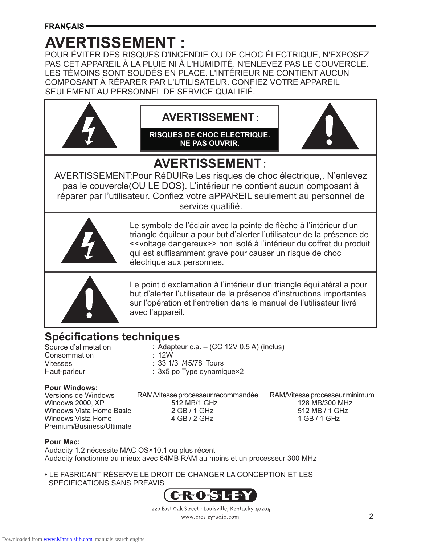# **AVERTISSEMENT :**

POUR ÉVITER DES RISQUES D'INCENDIE OU DE CHOC ÉLECTRIQUE, N'EXPOSEZ PAS CET APPAREIL À LA PLUIE NI À L'HUMIDITÉ. N'ENLEVEZ PAS LE COUVERCLE. LES TÉMOINS SONT SOUDÉS EN PLACE. L'INTÉRIEUR NE CONTIENT AUCUN COMPOSANT À RÉPARER PAR L'UTILISATEUR. CONFIEZ VOTRE APPAREIL SEULEMENT AU PERSONNEL DE SERVICE QUALIFIÉ.





Le point d'exclamation à l'intérieur d'un triangle équilatéral a pour but d'alerter l'utilisateur de la présence d'instructions importantes sur l'opération et l'entretien dans le manuel de l'utilisateur livré avec l'appareil.

### **Spécifications techniques**

Source d'alimetation **Consommation** Vitesses Haut-parleur

: Adapteur c.a. – (CC 12V 0.5 A) (inclus)

- : 12W
- : 33 1/3 /45/78 Tours
- : 3x5 po Type dynamique×2

### **Pour Windows:**

Versions de Windows<br>Windows 2000, XP Windows Vista Home Basic Windows Vista Home Premium/Business/Ultimate RAM/Vitesse processeur recommandée RAM/Vitesse processeur minimum 2 GB / 1 GHz 4 GB / 2 GHz

512 MB / 1 GHz 1 GB / 1 GHz

### **Pour Mac:**

Audacity 1.2 nécessite MAC OS×10.1 ou plus récent Audacity fonctionne au mieux avec 64MB RAM au moins et un processeur 300 MHz

• LE FABRICANT RÉSERVE LE DROIT DE CHANGER LA CONCEPTION ET LES SPÉCIFICATIONS SANS PRÉAVIS.



1220 East Oak Street . Louisville, Kentucky 40204 www.crosleyradio.com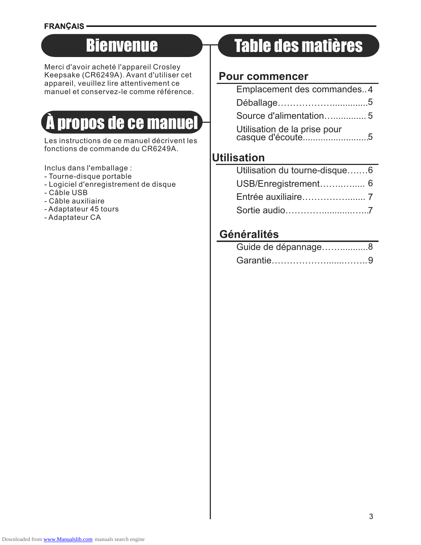### **FRANÇAIS**

# Bienvenue

Merci d'avoir acheté l'appareil Crosley Keepsake (CR6249A). Avant d'utiliser cet appareil, veuillez lire attentivement ce manuel et conservez-le comme référence.

# À propos de ce manuel

Les instructions de ce manuel décrivent les fonctions de commande du CR6249A.

Inclus dans l'emballage :

- Tourne-disque portable
- Logiciel d'enregistrement de disque
- Câble USB
- Câble auxiliaire
- Adaptateur 45 tours
- Adaptateur CA

# Table des matières

### **Pour commencer**

| Emplacement des commandes4                       |  |
|--------------------------------------------------|--|
|                                                  |  |
|                                                  |  |
| Utilisation de la prise pour<br>casque d'écoute5 |  |

### **Utilisation**

| Utilisation du tourne-disque6 |  |
|-------------------------------|--|
|                               |  |
|                               |  |
|                               |  |

### **Généralités**

| Guide de dépannage8 |  |
|---------------------|--|
|                     |  |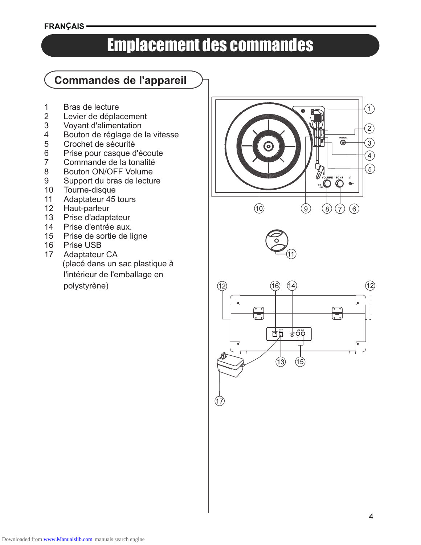### **FRANÇAIS -**

# Emplacement des commandes

### **Commandes de l'appareil**

- 1 Bras de lecture
- 2 Levier de déplacement<br>3 Voyant d'alimentation
- 3 Voyant d'alimentation<br>4 Bouton de réglage de
- 4 Bouton de réglage de la vitesse<br>5 Crochet de sécurité
- 5 Crochet de sécurité<br>6 Prise pour casque d
- 6 Prise pour casque d'écoute<br>7 Commande de la tonalité
- Commande de la tonalité
- 8 Bouton ON/OFF Volume
- 9 Support du bras de lecture
- 10 Tourne-disque
- 11 Adaptateur 45 tours<br>12 Haut-parleur
- Haut-parleur
- 13 Prise d'adaptateur
- 14 Prise d'entrée aux.
- 15 Prise de sortie de ligne
- 16 Prise USB<br>17 Adaptateur
- Adaptateur CA (placé dans un sac plastique à l'intérieur de l'emballage en polystyrène)







 $(17)$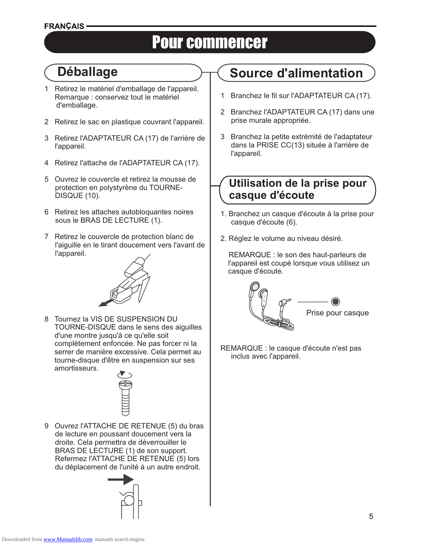# Pour commencer

# **Déballage**

- 1 Retirez le matériel d'emballage de l'appareil. Remarque : conservez tout le matériel d'emballage.
- 2 Retirez le sac en plastique couvrant l'appareil.
- 3 Retirez l'ADAPTATEUR CA (17) de l'arrière de l'appareil.
- 4 Retirez l'attache de l'ADAPTATEUR CA (17).
- 5 Ouvrez le couvercle et retirez la mousse de protection en polystyrène du TOURNE-DISQUE (10).
- 6 Retirez les attaches autobloquantes noires sous le BRAS DE LECTURE (1).
- 7 Retirez le couvercle de protection blanc de l'aiguille en le tirant doucement vers l'avant de l'appareil.

8 Tournez la VIS DE SUSPENSION DU TOURNE-DISQUE dans le sens des aiguilles d'une montre jusqu'à ce qu'elle soit complètement enfoncée. Ne pas forcer ni la serrer de manière excessive. Cela permet au tourne-disque d'être en suspension sur ses amortisseurs.



9 Ouvrez l'ATTACHE DE RETENUE (5) du bras de lecture en poussant doucement vers la droite. Cela permettra de déverrouiller le BRAS DE LECTURE (1) de son support. Refermez l'ATTACHE DE RETENUE (5) lors du déplacement de l'unité à un autre endroit.



# **Source d'alimentation**

- 1 Branchez le fil sur l'ADAPTATEUR CA (17).
- 2 Branchez l'ADAPTATEUR CA (17) dans une prise murale appropriée.
- 3 Branchez la petite extrémité de l'adaptateur dans la PRISE CC(13) située à l'arrière de l'appareil.

### **Utilisation de la prise pour casque d'écoute**

- 1. Branchez un casque d'écoute à la prise pour casque d'écoute (6).
- 2. Réglez le volume au niveau désiré.

 REMARQUE : le son des haut-parleurs de l'appareil est coupé lorsque vous utilisez un casque d'écoute.



REMARQUE : le casque d'écoute n'est pas inclus avec l'appareil.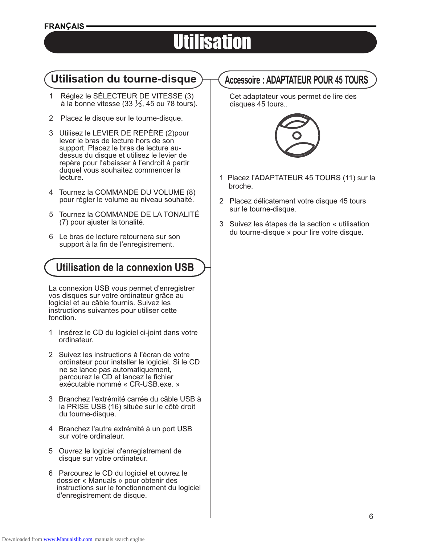# Utilisation

### **Utilisation du tourne-disque Accessoire : ADAPTATEUR POUR 45 TOURS**

- 1 Réglez le SÉLECTEUR DE VITESSE (3) à la bonne vitesse (33 ⅓, 45 ou 78 tours).
- 2 Placez le disque sur le tourne-disque.
- 3 Utilisez le LEVIER DE REPÈRE (2)pour lever le bras de lecture hors de son support. Placez le bras de lecture audessus du disque et utilisez le levier de repère pour l'abaisser à l'endroit à partir duquel vous souhaitez commencer la lecture.
- 4 Tournez la COMMANDE DU VOLUME (8) pour régler le volume au niveau souhaité.
- 5 Tournez la COMMANDE DE LA TONALITÉ (7) pour ajuster la tonalité.
- 6 Le bras de lecture retournera sur son support à la fin de l'enregistrement.

### **Utilisation de la connexion USB**

La connexion USB vous permet d'enregistrer vos disques sur votre ordinateur grâce au logiciel et au câble fournis. Suivez les instructions suivantes pour utiliser cette fonction.

- 1 Insérez le CD du logiciel ci-joint dans votre ordinateur.
- 2 Suivez les instructions à l'écran de votre ordinateur pour installer le logiciel. Si le CD ne se lance pas automatiquement, parcourez le CD et lancez le fichier exécutable nommé « CR-USB.exe. »
- 3 Branchez l'extrémité carrée du câble USB à la PRISE USB (16) située sur le côté droit du tourne-disque.
- 4 Branchez l'autre extrémité à un port USB sur votre ordinateur.
- 5 Ouvrez le logiciel d'enregistrement de disque sur votre ordinateur.
- 6 Parcourez le CD du logiciel et ouvrez le dossier « Manuals » pour obtenir des instructions sur le fonctionnement du logiciel d'enregistrement de disque.

 Cet adaptateur vous permet de lire des disques 45 tours..



- 1 Placez l'ADAPTATEUR 45 TOURS (11) sur la broche.
- 2 Placez délicatement votre disque 45 tours sur le tourne-disque.
- 3 Suivez les étapes de la section « utilisation du tourne-disque » pour lire votre disque.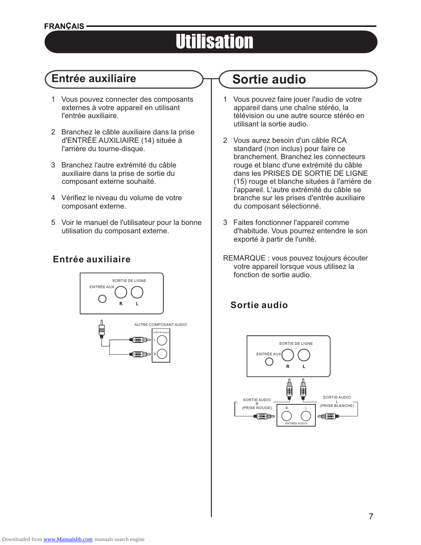### **FRANÇAIS**

# **Utilisation**

### **Entrée auxiliaire Sortie audio**

- 1 Vous pouvez connecter des composants externes à votre appareil en utilisant l'entrée auxiliaire.
- 2 Branchez le câble auxiliaire dans la prise d'ENTRÉE AUXILIAIRE (14) située à l'arrière du tourne-disque.
- 3 Branchez l'autre extrémité du câble auxiliaire dans la prise de sortie du composant externe souhaité.
- 4 Vérifiez le niveau du volume de votre composant externe.
- 5 Voir le manuel de l'utilisateur pour la bonne utilisation du composant externe.

### **Entrée auxiliaire**



- <sup>1</sup> Vous pouvez faire jouer l'audio de votre appareil dans une chaîne stéréo, la télévision ou une autre source stéréo en utilisant la sortie audio.
- 2 Vous aurez besoin d'un câble RCA standard (non inclus) pour faire ce branchement. Branchez les connecteurs rouge et blanc d'une extrémité du câble dans les PRISES DE SORTIE DE LIGNE (15) rouge et blanche situées à l'arrière de l'appareil. L'autre extrémité du câble se branche sur les prises d'entrée auxiliaire du composant sélectionné.
- 3 Faites fonctionner l'appareil comme d'habitude. Vous pourrez entendre le son exporté à partir de l'unité.
- REMARQUE : vous pouvez toujours écouter votre appareil lorsque vous utilisez la fonction de sortie audio.

### **Sortie audio**

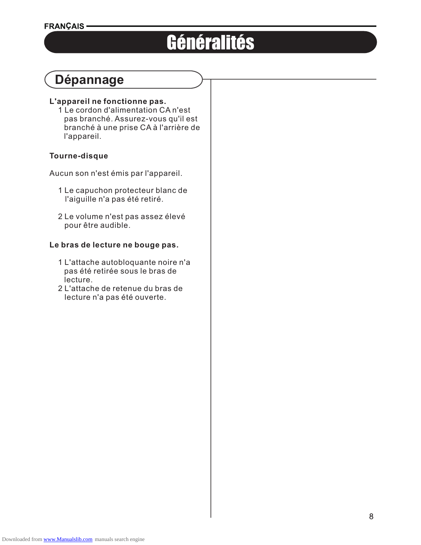# Généralités

# **Dépannage**

### **L'appareil ne fonctionne pas.**

 1 Le cordon d'alimentation CA n'est pas branché. Assurez-vous qu'il est branché à une prise CA à l'arrière de l'appareil.

### **Tourne-disque**

Aucun son n'est émis par l'appareil.

- 1 Le capuchon protecteur blanc de l'aiguille n'a pas été retiré.
- 2 Le volume n'est pas assez élevé pour être audible.

### **Le bras de lecture ne bouge pas.**

- 1 L'attache autobloquante noire n'a pas été retirée sous le bras de lecture.
- 2 L'attache de retenue du bras de lecture n'a pas été ouverte.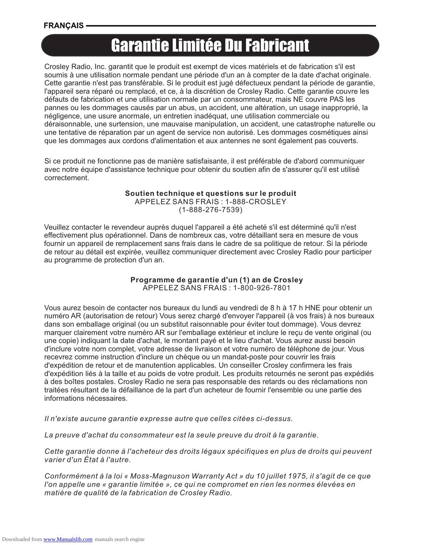### **FRANCAIS**

# Garantie Limitée Du Fabricant

Crosley Radio, Inc. garantit que le produit est exempt de vices matériels et de fabrication s'il est soumis à une utilisation normale pendant une période d'un an à compter de la date d'achat originale. Cette garantie n'est pas transférable. Si le produit est jugé défectueux pendant la période de garantie, l'appareil sera réparé ou remplacé, et ce, à la discrétion de Crosley Radio. Cette garantie couvre les défauts de fabrication et une utilisation normale par un consommateur, mais NE couvre PAS les pannes ou les dommages causés par un abus, un accident, une altération, un usage inapproprié, la négligence, une usure anormale, un entretien inadéquat, une utilisation commerciale ou déraisonnable, une surtension, une mauvaise manipulation, un accident, une catastrophe naturelle ou une tentative de réparation par un agent de service non autorisé. Les dommages cosmétiques ainsi que les dommages aux cordons d'alimentation et aux antennes ne sont également pas couverts.

Si ce produit ne fonctionne pas de manière satisfaisante, il est préférable de d'abord communiquer avec notre équipe d'assistance technique pour obtenir du soutien afin de s'assurer qu'il est utilisé correctement.

### **Soutien technique et questions sur le produit**

APPELEZ SANS FRAIS : 1-888-CROSLEY

(1-888-276-7539)

Veuillez contacter le revendeur auprès duquel l'appareil a été acheté s'il est déterminé qu'il n'est effectivement plus opérationnel. Dans de nombreux cas, votre détaillant sera en mesure de vous fournir un appareil de remplacement sans frais dans le cadre de sa politique de retour. Si la période de retour au détail est expirée, veuillez communiquer directement avec Crosley Radio pour participer au programme de protection d'un an.

### **Programme de garantie d'un (1) an de Crosley** APPELEZ SANS FRAIS : 1-800-926-7801

Vous aurez besoin de contacter nos bureaux du lundi au vendredi de 8 h à 17 h HNE pour obtenir un numéro AR (autorisation de retour) Vous serez chargé d'envoyer l'appareil (à vos frais) à nos bureaux dans son emballage original (ou un substitut raisonnable pour éviter tout dommage). Vous devrez marquer clairement votre numéro AR sur l'emballage extérieur et inclure le reçu de vente original (ou une copie) indiquant la date d'achat, le montant payé et le lieu d'achat. Vous aurez aussi besoin d'inclure votre nom complet, votre adresse de livraison et votre numéro de téléphone de jour. Vous recevrez comme instruction d'inclure un chèque ou un mandat-poste pour couvrir les frais d'expédition de retour et de manutention applicables. Un conseiller Crosley confirmera les frais d'expédition liés à la taille et au poids de votre produit. Les produits retournés ne seront pas expédiés à des boîtes postales. Crosley Radio ne sera pas responsable des retards ou des réclamations non traitées résultant de la défaillance de la part d'un acheteur de fournir l'ensemble ou une partie des informations nécessaires.

*Il n'existe aucune garantie expresse autre que celles citées ci-dessus.*

*La preuve d'achat du consommateur est la seule preuve du droit à la garantie.*

*Cette garantie donne à l'acheteur des droits légaux spécifiques en plus de droits qui peuvent varier d'un État à l'autre.*

*Conformément à la loi « Moss-Magnuson Warranty Act » du 10 juillet 1975, il s'agit de ce que l'on appelle une « garantie limitée », ce qui ne compromet en rien les normes élevées en matière de qualité de la fabrication de Crosley Radio.*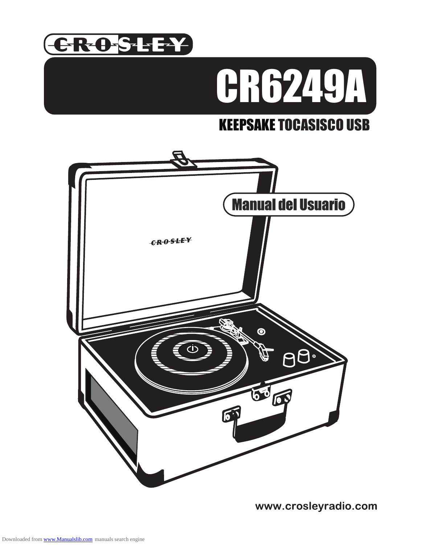



# KEEPSAKE TOCASISCO USB



www.crosleyradio.com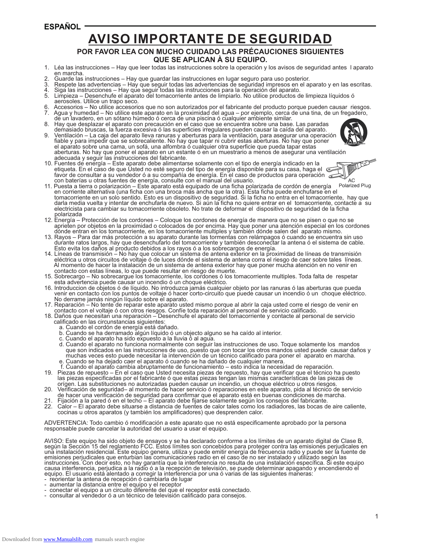### **ESPAÑOL**

# **AVISO IMPORTANTE DE SEGURIDAD**

### **POR FAVOR LEA CON MUCHO CUIDADO LAS PRÉCAUCIONES SIGUIENTES QUE SE APLICAN À SU EQUIPO.**

- 1. Léa las instrucciones Hay que leer todas las instrucciones sobre la operación y los avisos de seguridad antes l aparato en marcha.
- 2. Guarde las instrucciones Hay que guardar las instrucciones en lugar seguro para uso posterior.
- 3. Respete las advertencias Hay que seguir todas las advertencias de seguridad impresos en el aparato y en las escritas.
- 4. Siga las instrucciones Hay que seguir todas las instrucciones para la operación del aparato.
- 5. Limpieza Desenchufe el aparato del tomacorriente antes de limpiarlo. No utilice productos de limpieza líquidos ó aerosoles. Utilice un trapo seco.
- 6. Accesorios No utilice accesorios que no son autorizados por el fabricante del producto porque pueden causar riesgos.
- 7. Agua y humedad No utilice este aparato en la proximidad del agua por ejemplo, cerca de una tina, de un fregadero, de un lavadero, en un sótano húmedo ó cerca de una piscina ó cualquier ambiente similar.
- 8. Hay que desplazar el aparato con precaución en el caso que se encuentra sobre una base. Las paradas demasiado bruscas, la fuerza excesiva ó las superficies irregulares pueden causar la caída del aparato.
- 9. Ventilación La caja del aparato lleva ranuras y aberturas para la ventilación, para asegurar una operación fiable y para impedir que se sobrecaliente. No hay que tapar ni cubrir estas aberturas. No hay que poner el aparato sobre una cama, un sofá, una alfombra ó cualquier otra superficie que pueda tapar estas adecuada y seguir las instrucciones del fabricante.
- aberturas. No hay que poner el aparato en un estante ó en un muestrario a menos de asegurar una ventilación<br>adecuada y seguir las instrucciones del fabricante.<br>Fuentes de energía Este aparato debe alimentarse solamente c 10. Fuentes de energía – Este aparato debe alimentarse solamente con el tipo de energía indicado en la etiqueta. En el caso de que Usted no esté seguro del tipo de energía disponible para su casa, haga el favor de consultar a su vendedor ó a su compañía de energía. En el caso de productos para operación con baterías u otras fuentes de energía, consulte con el manual del usuario.



- Polarized Plug 11. Puesta a tierra o polarización – Este aparato está equipado de una ficha polarizada de cordón de energía en corriente alternativa (una ficha con una broca más ancha que la otra). Esta ficha puede enchufarse en el tomacorriente en un solo sentido. Esto es un dispositivo de seguridad. Si la ficha no entra en el tomacorriente, hay que darla media vuelta y intentar de enchufarla de nuevo. Si aún la ficha no quiere entrar en el tomacorriente, contacte a su electricista para cambiar su tomacorriente obsoleto. No trate de deformar el dispositivo de seguridad de la ficha polarizada
- 12. Energía Protección de los cordones Coloque los cordones de energía de manera que no se pisen o que no se aprieten por objetos en la proximidad o colocados de por encima. Hay que poner una atención especial en los cordones dónde entran en los tomacorriente, en los tomacorriente multiples y también dónde salen del aparato mismo.
- 13. Rayos Para dar más protección a su aparato durante las tormentas con relámpagos ó cuando se encuentra sin uso durante ratos largos, hay que desenchufarlo del tomacorriente y también desconectar la antena ó el sistema de cable. Esto evita los daños al producto debidos a los rayos ó a los sobrecargos de energía.
- 14. Líneas de transmisión No hay que colocar un sistema de antena exterior en la proximidad de líneas de transmisión eléctrica u otros circuitos de voltaje ó de luces dónde el sistema de antena corra el riesgo de caer sobre tales líneas. Al momento de hacer la instalación de un sistema de antena exterior hay que poner mucha atención en no venir en contacto con estas líneas, lo que puede resultar en riesgo de muerte.
- 15. Sobrecargo No sobrecargue los tomacorriente, los cordones ó los tomacorriente multiples. Toda falta de respetar esta advertencia puede causar un incendio ó un choque eléctrico.
- 16. Introduccion de objetos ó de líquido. No introduzca jamás cualquier objeto por las ranuras ó las aberturas que pueda venir en contacto con los puntos de voltaje ó hacer corto-circuito que puede causar un incendio ó un choque eléctrico. No derrame jamás ningún líquido sobre el aparato.
- 17. Reparación No tente de reparar este aparato usted mismo porque al abrir la caja usted corre el riesgo de venir en contacto con el voltaje ó con otros riesgos. Confíe toda reparación al personal de servicio calificado.
- 18. Daños que necesitan una reparación Desenchufe el aparato del tomacorriente y contacte al personal de servicio calificado en las circunstancias siguientes:
	- a. Cuando el cordón de energía está dañado.
- b. Cuando se ha derramado algún líquido ó un objecto alguno se ha caído al interior.
- c. Cuando el aparato ha sido expuesto a la lluvia ó al agua.
- d. Cuando el aparato no funciona normalmente con seguir las instrucciones de uso. Toque solamente los mandos que son indicados en las instrucciones de uso, puesto que con tocar los otros mandos usted puede causar daños y muchas veces esto puede necesitar la intervención de un técnico calificado para poner el aparato en marcha. e. Cuando se ha dejado caer el aparato ó cuando se ha dañado de cualquier manera.
- f. Cuando el aparato cambia abruptamente de funcionamiento esto indica la necesidad de reparación.
- 19. Piezas de repuesto En el caso que Usted necesita piezas de repuesto, hay que verificar que el técnico ha puesto las piezas especificadas por el fabricante ó que estas piezas tengan las mismas características de las piezas de orígen. Las substituciones no autorizadas pueden causar un incendio, un choque eléctrico u otros riesgos.
- 20. Verificación de seguridad– al momento de hacer servicio ó reparaciones en este aparato, pida al técnico de servicio de hacer una verificación de seguridad para confirmar que el aparato está en buenas condiciones de marcha.
- 
- 21. Fijación a la pared ó en el techo El aparato debe fijarse solamente según los consejos del fabricante.<br>22. Calor El aparato debe situarse a distancia de fuentes de calor tales como los radiadores, las bocas d 22. Calor – El aparato debe situarse a distancia de fuentes de calor tales como los radiadores, las bocas de aire caliente, cocinas u otros aparatos (y también los amplificadores) que desprenden calor.

ADVERTENCIA: Todo cambio ó modificación a este aparato que no está especificamente aprobado por la persona responsable puede cancelar la autoridad del usuario a usar el equipo.

AVISO: Este equipo ha sido objeto de ensayos y se ha declarado conforme a los límites de un aparato digital de Clase B,<br>según la Sección 15 del reglamento FCC. Estos límites son concebidos para proteger contra las emisione ună instalación residencial. Este equipo genera, utiliza y puede emitir energía de frecuencia radio y puede ser la fuente de<br>emisiones perjudicales que enturbian las comunicaciones radio en el caso de no ser instalado y ut instrucciones. Con decir esto, no hay garantía que la interferencia no resulta de una instalación específica. Si este equipo<br>causa interferencia, perjudica a la radio ó a la recepción de televisión, se puede determinar apa equipo. El usuario está alentado a corregir la interferencia por una ó varias de las siguientes maneras:

- reorientar la antena de recepción ó cambiarla de lugar
- aumentar la distancia entre el equipo y el receptor
- conectar el equipo a un circuito diferente del que el receptor está conectado.
- consultar al vendedor ó a un técnico de televisión calificado para consejos.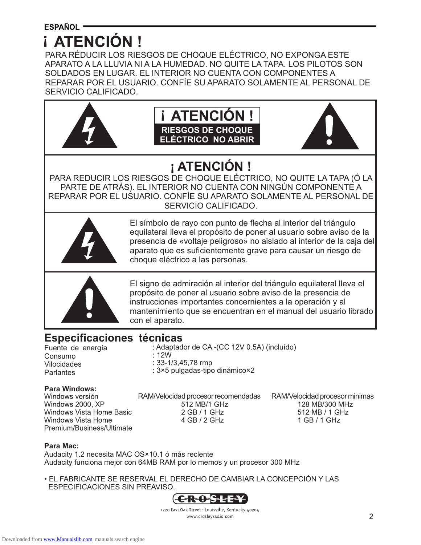# **i ATENCIÓN!**

PARA RÉDUCIR LOS RIESGOS DE CHOQUE ELÉCTRICO, NO EXPONGA ESTE APARATO A LA LLUVIA NI A LA HUMEDAD. NO QUITE LA TAPA. LOS PILOTOS SON SOLDADOS EN LUGAR. EL INTERIOR NO CUENTA CON COMPONENTES A REPARAR POR EL USUARIO. CONFÍE SU APARATO SOLAMENTE AL PERSONAL DE SERVICIO CALIFICADO.







# **¡ ATENCIÓN !**

PARA REDUCIR LOS RIESGOS DE CHOQUE ELÉCTRICO, NO QUITE LA TAPA (Ó LA PARTE DE ATRÁS). EL INTERIOR NO CUENTA CON NINGÚN COMPONENTE A REPARAR POR EL USUARIO. CONFÍE SU APARATO SOLAMENTE AL PERSONAL DE SERVICIO CALIFICADO.



El símbolo de rayo con punto de flecha al interior del triángulo equilateral lleva el propósito de poner al usuario sobre aviso de la presencia de «voltaje peligroso» no aislado al interior de la caja del aparato que es suficientemente grave para causar un riesgo de choque eléctrico a las personas.



El signo de admiración al interior del triángulo equilateral lleva el propósito de poner al usuario sobre aviso de la presencia de instrucciones importantes concernientes a la operación y al mantenimiento que se encuentran en el manual del usuario librado con el aparato.

### **Especificaciones técnicas**

Fuente de energía Consumo Vilocidades **Parlantes** 

: Adaptador de CA -(CC 12V 0.5A) (incluído) : 12W : 33-1/3,45,78 rmp

: 3×5 pulgadas-tipo dinámico×2

# **Para Windows:**

Windows 2000, XP Windows Vista Home Basic Windows Vista Home Premium/Business/Ultimate RAM/Velocidad procesor recomendadas RAM/Velocidad procesor minimas<br>512 MB/1 GHz 128 MB/300 MHz 2 GB / 1 GHz 4 GB / 2 GHz

512 MB / 1 GHz 1 GB / 1 GHz

### **Para Mac:**

Audacity 1.2 necesita MAC OS×10.1 ó más reclente Audacity funciona mejor con 64MB RAM por lo memos y un procesor 300 MHz

• EL FABRICANTE SE RESERVAL EL DERECHO DE CAMBIAR LA CONCEPCIÓN Y LAS ESPECIFICACIONES SIN PREAVISO.



1220 East Oak Street . Louisville, Kentucky 40204 www.crosleyradio.com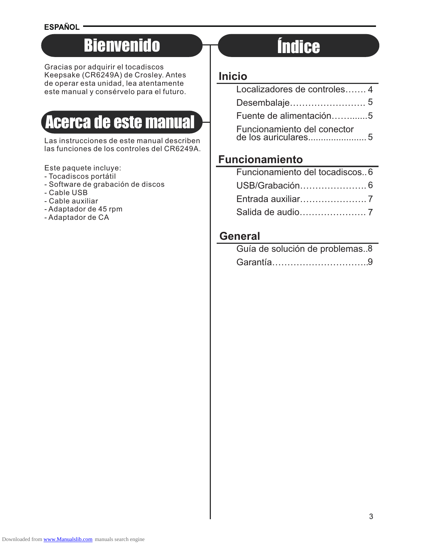### **ESPAÑOL**

# Bienvenido

Gracias por adquirir el tocadiscos Keepsake (CR6249A) de Crosley. Antes de operar esta unidad, lea atentamente este manual y consérvelo para el futuro.

# Acerca de este manual

Las instrucciones de este manual describen las funciones de los controles del CR6249A.

Este paquete incluye:

- Tocadiscos portátil
- Software de grabación de discos
- Cable USB
- Cable auxiliar
- Adaptador de 45 rpm
- Adaptador de CA

# Índice

### **Inicio**

| Localizadores de controles 4 |  |
|------------------------------|--|
|                              |  |
| Fuente de alimentación5      |  |
| Funcionamiento del conector  |  |

### **Funcionamiento**

| Funcionamiento del tocadiscos. 6 |  |
|----------------------------------|--|
|                                  |  |
|                                  |  |
|                                  |  |

### **General**

| Guía de solución de problemas8 |  |
|--------------------------------|--|
|                                |  |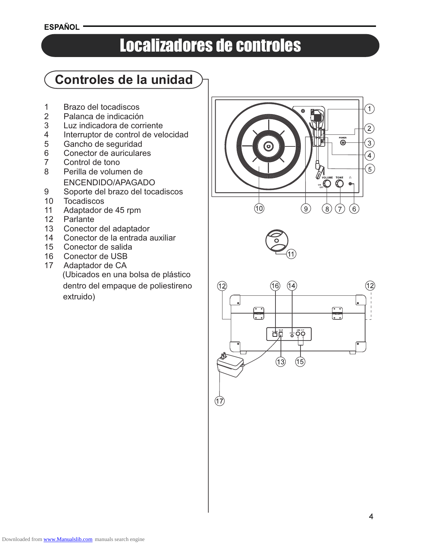**ESPAÑOL** 

# Localizadores de controles

# **Controles de la unidad**

- 1 Brazo del tocadiscos
- 2 Palanca de indicación<br>3 Luz indicadora de corr
- 3 Luz indicadora de corriente<br>4 Interruptor de control de vel
- 4 Interruptor de control de velocidad<br>5 Gancho de seguridad
- 5 Gancho de seguridad<br>6 Conector de auriculare
- Conector de auriculares
- 7 Control de tono
- 8 Perilla de volumen de ENCENDIDO/APAGADO
- 9 Soporte del brazo del tocadiscos
- 10 Tocadiscos
- 11 Adaptador de 45 rpm
- 12 Parlante
- 13 Conector del adaptador
- 14 Conector de la entrada auxiliar
- 15 Conector de salida
- 16 Conector de USB
- 17 Adaptador de CA (Ubicados en una bolsa de plástico dentro del empaque de poliestireno extruido)







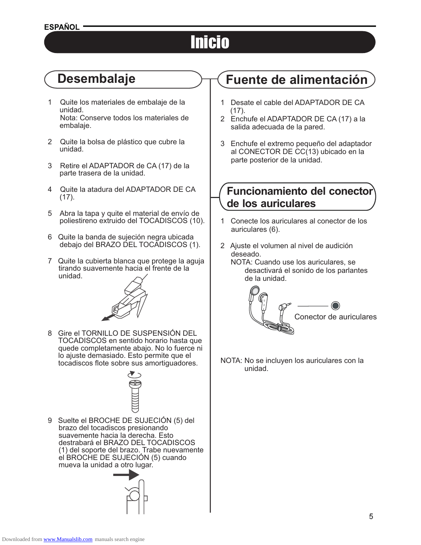### **ESPAÑOL -**

# Inicio

# **Desembalaje**

- 1 Quite los materiales de embalaje de la unidad. Nota: Conserve todos los materiales de embalaje.
- 2 Quite la bolsa de plástico que cubre la unidad.
- 3 Retire el ADAPTADOR de CA (17) de la parte trasera de la unidad.
- 4 Quite la atadura del ADAPTADOR DE CA (17).
- 5 Abra la tapa y quite el material de envío de poliestireno extruido del TOCADISCOS (10).
- 6 Quite la banda de sujeción negra ubicada debajo del BRAZO DEL TOCADISCOS (1).
- 7 Quite la cubierta blanca que protege la aguja tirando suavemente hacia el frente de la unidad.



8 Gire el TORNILLO DE SUSPENSIÓN DEL TOCADISCOS en sentido horario hasta que quede completamente abajo. No lo fuerce ni lo ajuste demasiado. Esto permite que el tocadiscos flote sobre sus amortiguadores.



9 Suelte el BROCHE DE SUJECIÓN (5) del brazo del tocadiscos presionando suavemente hacia la derecha. Esto destrabará el BRAZO DEL TOCADISCOS (1) del soporte del brazo. Trabe nuevamente el BROCHE DE SUJECIÓN (5) cuando mueva la unidad a otro lugar.



# **Fuente de alimentación**

- 1 Desate el cable del ADAPTADOR DE CA (17).
- 2 Enchufe el ADAPTADOR DE CA (17) a la salida adecuada de la pared.
- 3 Enchufe el extremo pequeño del adaptador al CONECTOR DE CC(13) ubicado en la parte posterior de la unidad.

### **Funcionamiento del conector de los auriculares**

- 1 Conecte los auriculares al conector de los auriculares (6).
- 2 Ajuste el volumen al nivel de audición deseado.
	- NOTA: Cuando use los auriculares, se desactivará el sonido de los parlantes de la unidad.



NOTA: No se incluyen los auriculares con la unidad.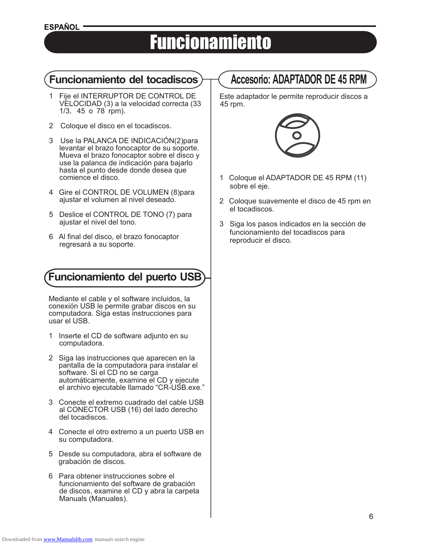### **ESPAÑOL**

# Funcionamiento

### **Funcionamiento del tocadiscos**  $\rightarrow$  ( Accesorio: ADAPTADOR DE 45 RPM

- 1 Fije el INTERRUPTOR DE CONTROL DE VELOCIDAD (3) a la velocidad correcta (33 1/3, 45 o 78 rpm).
- 2 Coloque el disco en el tocadiscos.
- 3 Use la PALANCA DE INDICACIÓN(2)para levantar el brazo fonocaptor de su soporte. Mueva el brazo fonocaptor sobre el disco y use la palanca de indicación para bajarlo hasta el punto desde donde desea que comience el disco.
- 4 Gire el CONTROL DE VOLUMEN (8)para ajustar el volumen al nivel deseado.
- 5 Deslice el CONTROL DE TONO (7) para ajustar el nivel del tono.
- 6 Al final del disco, el brazo fonocaptor regresará a su soporte.

### **Funcionamiento del puerto USB**

Mediante el cable y el software incluidos, la conexión USB le permite grabar discos en su computadora. Siga estas instrucciones para usar el USB.

- 1 Inserte el CD de software adjunto en su computadora.
- 2 Siga las instrucciones que aparecen en la pantalla de la computadora para instalar el software. Si el CD no se carga automáticamente, examine el CD y ejecute el archivo ejecutable llamado "CR-USB.exe."
- 3 Conecte el extremo cuadrado del cable USB al CONECTOR USB (16) del lado derecho del tocadiscos.
- 4 Conecte el otro extremo a un puerto USB en su computadora.
- 5 Desde su computadora, abra el software de grabación de discos.
- 6 Para obtener instrucciones sobre el funcionamiento del software de grabación de discos, examine el CD y abra la carpeta Manuals (Manuales).

Este adaptador le permite reproducir discos a 45 rpm.



- 1 Coloque el ADAPTADOR DE 45 RPM (11) sobre el eje.
- 2 Coloque suavemente el disco de 45 rpm en el tocadiscos.
- 3 Siga los pasos indicados en la sección de funcionamiento del tocadiscos para reproducir el disco.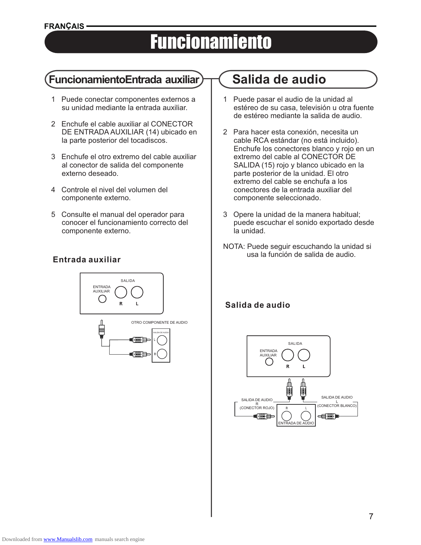# **Funcionamiento**

### **FuncionamientoEntrada auxiliar Salida de audio**

- 1 Puede conectar componentes externos a su unidad mediante la entrada auxiliar.
- 2 Enchufe el cable auxiliar al CONECTOR DE ENTRADA AUXILIAR (14) ubicado en la parte posterior del tocadiscos.
- 3 Enchufe el otro extremo del cable auxiliar al conector de salida del componente externo deseado.
- 4 Controle el nivel del volumen del componente externo.
- 5 Consulte el manual del operador para conocer el funcionamiento correcto del componente externo.

### **Entrada auxiliar**



- 1 Puede pasar el audio de la unidad al estéreo de su casa, televisión u otra fuente de estéreo mediante la salida de audio.
- 2 Para hacer esta conexión, necesita un cable RCA estándar (no está incluido). Enchufe los conectores blanco y rojo en un extremo del cable al CONECTOR DE SALIDA (15) rojo y blanco ubicado en la parte posterior de la unidad. El otro extremo del cable se enchufa a los conectores de la entrada auxiliar del componente seleccionado.
- 3 Opere la unidad de la manera habitual; puede escuchar el sonido exportado desde la unidad.
- NOTA: Puede seguir escuchando la unidad si usa la función de salida de audio.

### **Salida de audio**

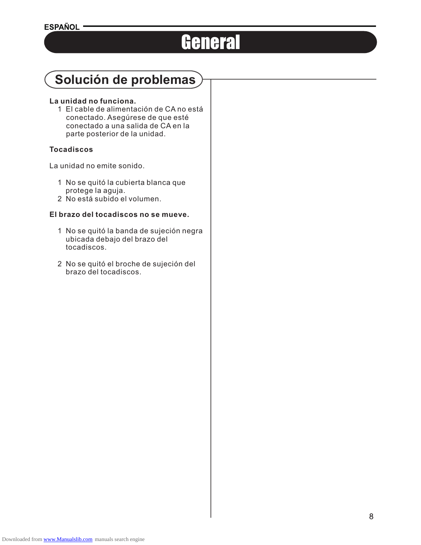# General

# **Solución de problemas**

### **La unidad no funciona.**

 1 El cable de alimentación de CA no está conectado. Asegúrese de que esté conectado a una salida de CA en la parte posterior de la unidad.

### **Tocadiscos**

La unidad no emite sonido.

- 1 No se quitó la cubierta blanca que protege la aguja.
- 2 No está subido el volumen.

### **El brazo del tocadiscos no se mueve.**

- 1 No se quitó la banda de sujeción negra ubicada debajo del brazo del tocadiscos.
- 2 No se quitó el broche de sujeción del brazo del tocadiscos.